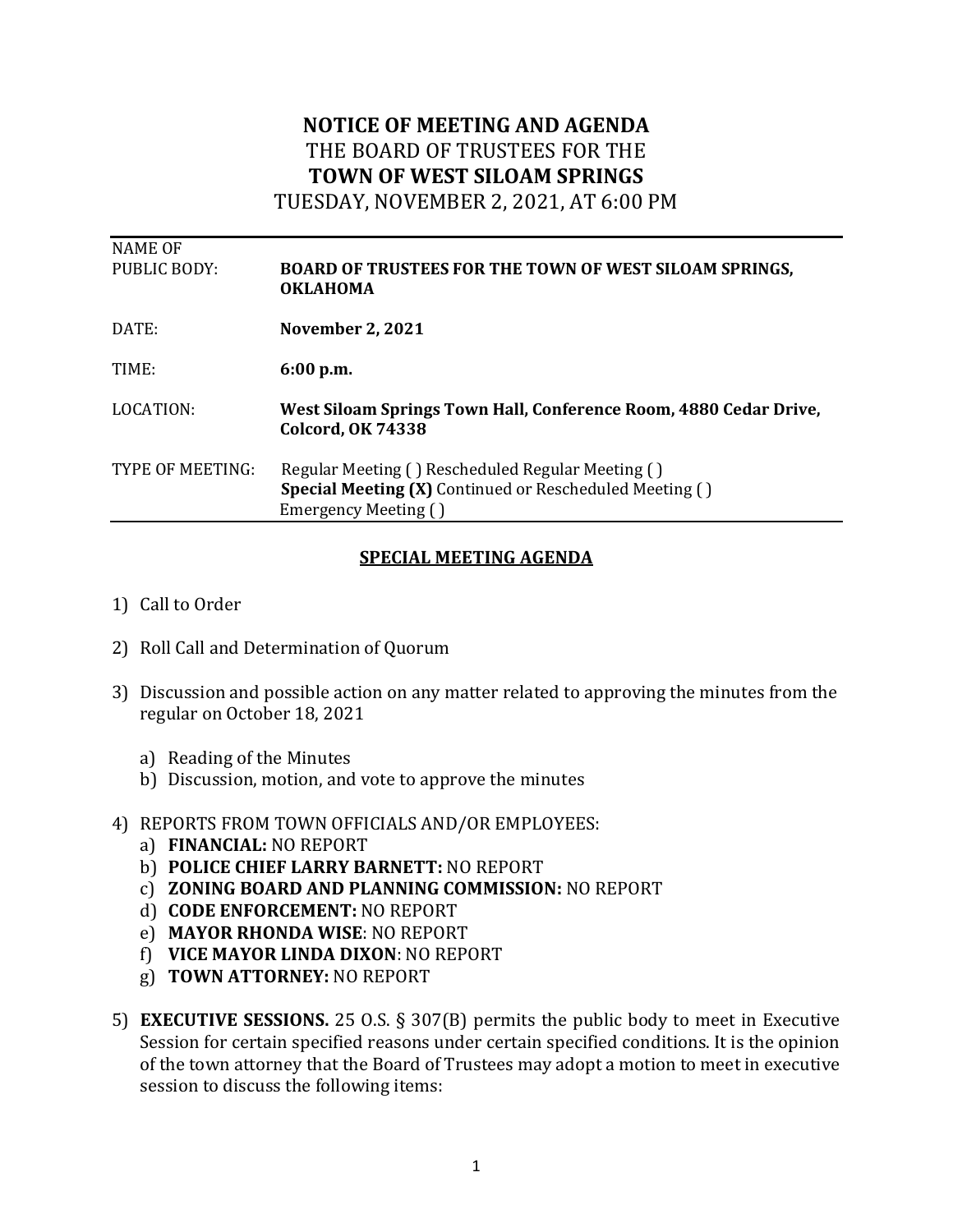## **NOTICE OF MEETING AND AGENDA** THE BOARD OF TRUSTEES FOR THE **TOWN OF WEST SILOAM SPRINGS**

TUESDAY, NOVEMBER 2, 2021, AT 6:00 PM

| <b>NAME OF</b><br>PUBLIC BODY: | <b>BOARD OF TRUSTEES FOR THE TOWN OF WEST SILOAM SPRINGS,</b><br><b>OKLAHOMA</b>                                                            |
|--------------------------------|---------------------------------------------------------------------------------------------------------------------------------------------|
| DATE:                          | <b>November 2, 2021</b>                                                                                                                     |
| TIME:                          | 6:00 p.m.                                                                                                                                   |
| LOCATION:                      | West Siloam Springs Town Hall, Conference Room, 4880 Cedar Drive,<br><b>Colcord, OK 74338</b>                                               |
| TYPE OF MEETING:               | Regular Meeting () Rescheduled Regular Meeting ()<br><b>Special Meeting (X)</b> Continued or Rescheduled Meeting ()<br>Emergency Meeting () |
|                                |                                                                                                                                             |

## **SPECIAL MEETING AGENDA**

- 1) Call to Order
- 2) Roll Call and Determination of Quorum
- 3) Discussion and possible action on any matter related to approving the minutes from the regular on October 18, 2021
	- a) Reading of the Minutes
	- b) Discussion, motion, and vote to approve the minutes
- 4) REPORTS FROM TOWN OFFICIALS AND/OR EMPLOYEES:
	- a) **FINANCIAL:** NO REPORT
	- b) **POLICE CHIEF LARRY BARNETT:** NO REPORT
	- c) **ZONING BOARD AND PLANNING COMMISSION:** NO REPORT
	- d) **CODE ENFORCEMENT:** NO REPORT
	- e) **MAYOR RHONDA WISE**: NO REPORT
	- f) **VICE MAYOR LINDA DIXON**: NO REPORT
	- g) **TOWN ATTORNEY:** NO REPORT
- 5) **EXECUTIVE SESSIONS.** 25 O.S. § 307(B) permits the public body to meet in Executive Session for certain specified reasons under certain specified conditions. It is the opinion of the town attorney that the Board of Trustees may adopt a motion to meet in executive session to discuss the following items: